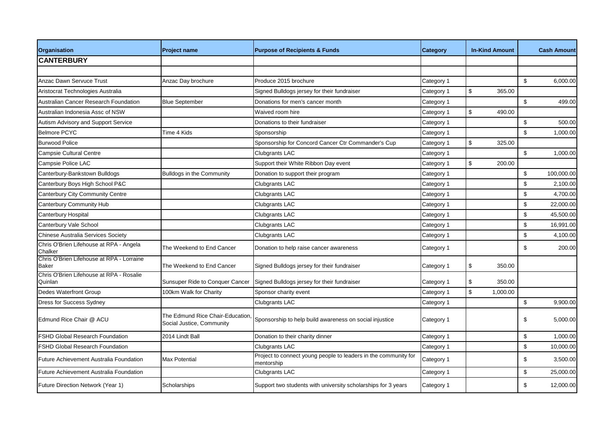| <b>Organisation</b>                                       | <b>Project name</b>                                           | <b>Purpose of Recipients &amp; Funds</b>                                      | <b>Category</b> | <b>In-Kind Amount</b> |                           | <b>Cash Amount</b> |
|-----------------------------------------------------------|---------------------------------------------------------------|-------------------------------------------------------------------------------|-----------------|-----------------------|---------------------------|--------------------|
| <b>CANTERBURY</b>                                         |                                                               |                                                                               |                 |                       |                           |                    |
|                                                           |                                                               |                                                                               |                 |                       |                           |                    |
| <b>Anzac Dawn Servuce Trust</b>                           | Anzac Day brochure                                            | Produce 2015 brochure                                                         | Category 1      |                       | \$                        | 6,000.00           |
| Aristocrat Technologies Australia                         |                                                               | Signed Bulldogs jersey for their fundraiser                                   | Category 1      | \$<br>365.00          |                           |                    |
| <b>Australian Cancer Research Foundation</b>              | <b>Blue September</b>                                         | Donations for men's cancer month                                              | Category 1      |                       | $\mathbb{S}$              | 499.00             |
| Australian Indonesia Assc of NSW                          |                                                               | Waived room hire                                                              | Category 1      | \$<br>490.00          |                           |                    |
| Autism Advisory and Support Service                       |                                                               | Donations to their fundraiser                                                 | Category 1      |                       | $\boldsymbol{\mathsf{S}}$ | 500.00             |
| <b>Belmore PCYC</b>                                       | Time 4 Kids                                                   | Sponsorship                                                                   | Category 1      |                       | \$                        | 1,000.00           |
| <b>Burwood Police</b>                                     |                                                               | Sponsorship for Concord Cancer Ctr Commander's Cup                            | Category 1      | \$<br>325.00          |                           |                    |
| <b>Campsie Cultural Centre</b>                            |                                                               | <b>Clubgrants LAC</b>                                                         | Category 1      |                       | $\boldsymbol{\mathsf{S}}$ | 1,000.00           |
| Campsie Police LAC                                        |                                                               | Support their White Ribbon Day event                                          | Category 1      | \$<br>200.00          |                           |                    |
| Canterbury-Bankstown Bulldogs                             | <b>Bulldogs in the Community</b>                              | Donation to support their program                                             | Category 1      |                       | \$                        | 100,000.00         |
| Canterbury Boys High School P&C                           |                                                               | <b>Clubgrants LAC</b>                                                         | Category 1      |                       | \$                        | 2,100.00           |
| <b>Canterbury City Community Centre</b>                   |                                                               | <b>Clubgrants LAC</b>                                                         | Category 1      |                       | \$                        | 4,700.00           |
| Canterbury Community Hub                                  |                                                               | <b>Clubgrants LAC</b>                                                         | Category 1      |                       | \$                        | 22,000.00          |
| <b>Canterbury Hospital</b>                                |                                                               | Clubgrants LAC                                                                | Category 1      |                       | $\sqrt[6]{\frac{1}{2}}$   | 45,500.00          |
| Canterbury Vale School                                    |                                                               | Clubgrants LAC                                                                | Category 1      |                       | $\sqrt[6]{\frac{1}{2}}$   | 16,991.00          |
| Chinese Australia Services Society                        |                                                               | <b>Clubgrants LAC</b>                                                         | Category 1      |                       | \$                        | 4,100.00           |
| Chris O'Brien Lifehouse at RPA - Angela<br>Chalker        | The Weekend to End Cancer                                     | Donation to help raise cancer awareness                                       | Category 1      |                       | \$                        | 200.00             |
| Chris O'Brien Lifehouse at RPA - Lorraine<br><b>Baker</b> | The Weekend to End Cancer                                     | Signed Bulldogs jersey for their fundraiser                                   | Category 1      | \$<br>350.00          |                           |                    |
| Chris O'Brien Lifehouse at RPA - Rosalie<br>Quinlan       | Sunsuper Ride to Conquer Cancer                               | Signed Bulldogs jersey for their fundraiser                                   | Category 1      | \$<br>350.00          |                           |                    |
| <b>Dedes Waterfront Group</b>                             | 100km Walk for Charity                                        | Sponsor charity event                                                         | Category 1      | \$<br>1,000.00        |                           |                    |
| <b>Dress for Success Sydney</b>                           |                                                               | <b>Clubgrants LAC</b>                                                         | Category 1      |                       | $\,$                      | 9,900.00           |
| Edmund Rice Chair @ ACU                                   | The Edmund Rice Chair-Education,<br>Social Justice, Community | Sponsorship to help build awareness on social injustice                       | Category 1      |                       | \$                        | 5,000.00           |
| <b>FSHD Global Research Foundation</b>                    | 2014 Lindt Ball                                               | Donation to their charity dinner                                              | Category 1      |                       | \$                        | 1,000.00           |
| <b>FSHD Global Research Foundation</b>                    |                                                               | <b>Clubgrants LAC</b>                                                         | Category 1      |                       | \$                        | 10,000.00          |
| Future Achievement Australia Foundation                   | <b>Max Potential</b>                                          | Project to connect young people to leaders in the community for<br>mentorship | Category 1      |                       | \$                        | 3,500.00           |
| Future Achievement Australia Foundation                   |                                                               | Clubgrants LAC                                                                | Category 1      |                       | $\,$                      | 25,000.00          |
| Future Direction Network (Year 1)                         | Scholarships                                                  | Support two students with university scholarships for 3 years                 | Category 1      |                       | \$                        | 12,000.00          |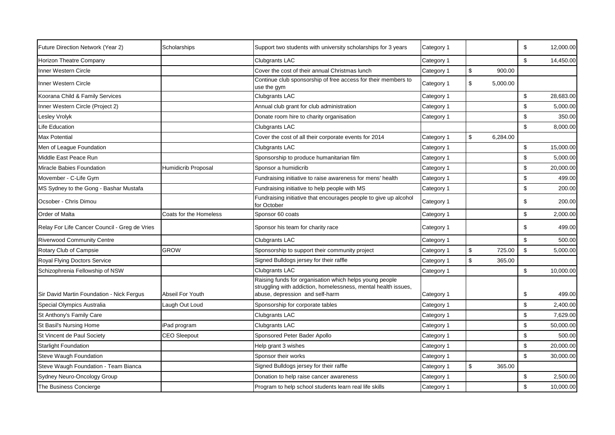| Future Direction Network (Year 2)             | Scholarships               | Support two students with university scholarships for 3 years                                                                                                | Category 1 |                |          | \$                      | 12,000.00 |
|-----------------------------------------------|----------------------------|--------------------------------------------------------------------------------------------------------------------------------------------------------------|------------|----------------|----------|-------------------------|-----------|
| Horizon Theatre Company                       |                            | Clubgrants LAC                                                                                                                                               | Category 1 |                |          | $\sqrt[6]{\frac{1}{2}}$ | 14,450.00 |
| Inner Western Circle                          |                            | Cover the cost of their annual Christmas lunch                                                                                                               | Category 1 | $\,$           | 900.00   |                         |           |
| Inner Western Circle                          |                            | Continue club sponsorship of free access for their members to<br>use the gym                                                                                 | Category 1 | \$             | 5,000.00 |                         |           |
| Koorana Child & Family Services               |                            | <b>Clubgrants LAC</b>                                                                                                                                        | Category 1 |                |          | $\mathbb{S}$            | 28,683.00 |
| Inner Western Circle (Project 2)              |                            | Annual club grant for club administration                                                                                                                    | Category 1 |                |          | \$                      | 5,000.00  |
| Lesley Vrolyk                                 |                            | Donate room hire to charity organisation                                                                                                                     | Category 1 |                |          | \$                      | 350.00    |
| Life Education                                |                            | <b>Clubgrants LAC</b>                                                                                                                                        |            |                |          | $\sqrt[6]{\frac{1}{2}}$ | 8,000.00  |
| <b>Max Potential</b>                          |                            | Cover the cost of all their corporate events for 2014                                                                                                        | Category 1 | \$             | 6,284.00 |                         |           |
| Men of League Foundation                      |                            | <b>Clubgrants LAC</b>                                                                                                                                        | Category 1 |                |          | \$                      | 15,000.00 |
| Middle East Peace Run                         |                            | Sponsorship to produce humanitarian film                                                                                                                     | Category 1 |                |          | \$                      | 5,000.00  |
| Miracle Babies Foundation                     | <b>Humidicrib Proposal</b> | Sponsor a humidicrib                                                                                                                                         | Category 1 |                |          | \$                      | 20,000.00 |
| Movember - C-Life Gym                         |                            | Fundraising initiative to raise awareness for mens' health                                                                                                   | Category 1 |                |          | \$                      | 499.00    |
| MS Sydney to the Gong - Bashar Mustafa        |                            | Fundraising initiative to help people with MS                                                                                                                | Category 1 |                |          | \$                      | 200.00    |
| Ocsober - Chris Dimou                         |                            | Fundraising initiative that encourages people to give up alcohol<br>for October                                                                              | Category 1 |                |          | \$                      | 200.00    |
| Order of Malta                                | Coats for the Homeless     | Sponsor 60 coats                                                                                                                                             | Category 1 |                |          | $\sqrt[6]{\frac{1}{2}}$ | 2,000.00  |
| Relay For Life Cancer Council - Greg de Vries |                            | Sponsor his team for charity race                                                                                                                            | Category 1 |                |          | \$                      | 499.00    |
| <b>Riverwood Community Centre</b>             |                            | <b>Clubgrants LAC</b>                                                                                                                                        | Category 1 |                |          | \$                      | 500.00    |
| Rotary Club of Campsie                        | <b>GROW</b>                | Sponsorship to support their community project                                                                                                               | Category 1 | $\,$           | 725.00   | $$\mathbb{S}$$          | 5,000.00  |
| Royal Flying Doctors Service                  |                            | Signed Bulldogs jersey for their raffle                                                                                                                      | Category 1 | \$             | 365.00   |                         |           |
| Schizophrenia Fellowship of NSW               |                            | <b>Clubgrants LAC</b>                                                                                                                                        | Category 1 |                |          | \$                      | 10,000.00 |
| Sir David Martin Foundation - Nick Fergus     | Abseil For Youth           | Raising funds for organisation which helps young people<br>struggling with addiction, homelessness, mental health issues,<br>abuse, depression and self-harm | Category 1 |                |          | \$                      | 499.00    |
| Special Olympics Australia                    | Laugh Out Loud             | Sponsorship for corporate tables                                                                                                                             | Category 1 |                |          | \$                      | 2,400.00  |
| St Anthony's Family Care                      |                            | <b>Clubgrants LAC</b>                                                                                                                                        | Category 1 |                |          | \$                      | 7,629.00  |
| St Basil's Nursing Home                       | iPad program               | <b>Clubgrants LAC</b>                                                                                                                                        | Category 1 |                |          | $\sqrt[6]{\frac{1}{2}}$ | 50,000.00 |
| St Vincent de Paul Society                    | <b>CEO Sleepout</b>        | Sponsored Peter Bader Apollo                                                                                                                                 | Category 1 |                |          | \$                      | 500.00    |
| <b>Starlight Foundation</b>                   |                            | Help grant 3 wishes                                                                                                                                          | Category 1 |                |          | \$                      | 20,000.00 |
| Steve Waugh Foundation                        |                            | Sponsor their works                                                                                                                                          | Category 1 |                |          | \$                      | 30,000.00 |
| Steve Waugh Foundation - Team Bianca          |                            | Signed Bulldogs jersey for their raffle                                                                                                                      | Category 1 | $$\mathbb{S}$$ | 365.00   |                         |           |
| Sydney Neuro-Oncology Group                   |                            | Donation to help raise cancer awareness                                                                                                                      | Category 1 |                |          | \$                      | 2,500.00  |
| The Business Concierge                        |                            | Program to help school students learn real life skills                                                                                                       | Category 1 |                |          | \$                      | 10,000.00 |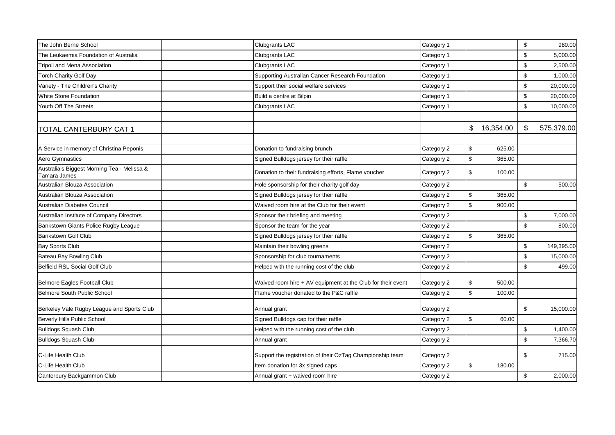| The John Berne School                                       | Clubgrants LAC                                              | Category 1 |                         |           | $\sqrt[6]{3}$           | 980.00     |
|-------------------------------------------------------------|-------------------------------------------------------------|------------|-------------------------|-----------|-------------------------|------------|
| The Leukaemia Foundation of Australia                       | Clubgrants LAC                                              | Category 1 |                         |           | \$                      | 5,000.00   |
| Tripoli and Mena Association                                | <b>Clubgrants LAC</b>                                       | Category 1 |                         |           | \$                      | 2,500.00   |
| <b>Torch Charity Golf Day</b>                               | Supporting Australian Cancer Research Foundation            | Category 1 |                         |           | \$                      | 1,000.00   |
| Variety - The Children's Charity                            | Support their social welfare services                       | Category 1 |                         |           | \$                      | 20,000.00  |
| <b>White Stone Foundation</b>                               | Build a centre at Bilpin                                    | Category 1 |                         |           | \$                      | 20,000.00  |
| Youth Off The Streets                                       | Clubgrants LAC                                              | Category 1 |                         |           | $\sqrt[6]{\frac{1}{2}}$ | 10,000.00  |
| <b>TOTAL CANTERBURY CAT 1</b>                               |                                                             |            | \$                      | 16,354.00 | \$                      | 575,379.00 |
| A Service in memory of Christina Peponis                    | Donation to fundraising brunch                              | Category 2 | $\mathbb{S}$            | 625.00    |                         |            |
| Aero Gymnastics                                             | Signed Bulldogs jersey for their raffle                     | Category 2 | $\mathbb{S}$            | 365.00    |                         |            |
| Australia's Biggest Morning Tea - Melissa &<br>Tamara James | Donation to their fundraising efforts, Flame voucher        | Category 2 | \$                      | 100.00    |                         |            |
| Australian Blouza Association                               | Hole sponsorship for their charity golf day                 | Category 2 |                         |           | $\sqrt[6]{\frac{1}{2}}$ | 500.00     |
| Australian Blouza Association                               | Signed Bulldogs jersey for their raffle                     | Category 2 | $\,$                    | 365.00    |                         |            |
| Australian Diabetes Council                                 | Waived room hire at the Club for their event                | Category 2 | $\sqrt[6]{\frac{1}{2}}$ | 900.00    |                         |            |
| Australian Institute of Company Directors                   | Sponsor their briefing and meeting                          | Category 2 |                         |           | \$                      | 7,000.00   |
| Bankstown Giants Police Rugby League                        | Sponsor the team for the year                               | Category 2 |                         |           | \$                      | 800.00     |
| <b>Bankstown Golf Club</b>                                  | Signed Bulldogs jersey for their raffle                     | Category 2 | $$\mathbb{S}$$          | 365.00    |                         |            |
| <b>Bay Sports Club</b>                                      | Maintain their bowling greens                               | Category 2 |                         |           | \$                      | 149,395.00 |
| Bateau Bay Bowling Club                                     | Sponsorship for club tournaments                            | Category 2 |                         |           | \$                      | 15,000.00  |
| Belfield RSL Social Golf Club                               | Helped with the running cost of the club                    | Category 2 |                         |           | \$                      | 499.00     |
| Belmore Eagles Football Club                                | Waived room hire + AV equipment at the Club for their event | Category 2 | \$                      | 500.00    |                         |            |
| Belmore South Public School                                 | Flame voucher donated to the P&C raffle                     | Category 2 | \$                      | 100.00    |                         |            |
| Berkeley Vale Rugby League and Sports Club                  | Annual grant                                                | Category 2 |                         |           | \$                      | 15,000.00  |
| Beverly Hills Public School                                 | Signed Bulldogs cap for their raffle                        | Category 2 | $\mathbb{S}$            | 60.00     |                         |            |
| <b>Bulldogs Squash Club</b>                                 | Helped with the running cost of the club                    | Category 2 |                         |           | \$                      | 1,400.00   |
| <b>Bulldogs Squash Club</b>                                 | Annual grant                                                | Category 2 |                         |           | \$                      | 7,366.70   |
| C-Life Health Club                                          | Support the registration of their OzTag Championship team   | Category 2 |                         |           | \$                      | 715.00     |
| C-Life Health Club                                          | Item donation for 3x signed caps                            | Category 2 | \$                      | 180.00    |                         |            |
| Canterbury Backgammon Club                                  | Annual grant + waived room hire                             | Category 2 |                         |           | $\,$                    | 2,000.00   |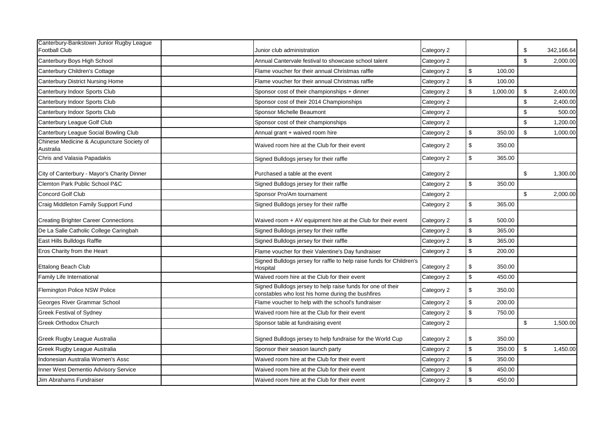| Canterbury-Bankstown Junior Rugby League<br><b>Football Club</b> | Junior club administration                                                                                       | Category 2 |                                                     | \$                      | 342,166.64 |
|------------------------------------------------------------------|------------------------------------------------------------------------------------------------------------------|------------|-----------------------------------------------------|-------------------------|------------|
| Canterbury Boys High School                                      | Annual Cantervale festival to showcase school talent                                                             | Category 2 |                                                     | \$                      | 2,000.00   |
| Canterbury Children's Cottage                                    | Flame voucher for their annual Christmas raffle                                                                  | Category 2 | \$<br>100.00                                        |                         |            |
| Canterbury District Nursing Home                                 | Flame voucher for their annual Christmas raffle                                                                  | Category 2 | $\,$<br>100.00                                      |                         |            |
| Canterbury Indoor Sports Club                                    | Sponsor cost of their championships + dinner                                                                     | Category 2 | $$\mathbb{S}$$<br>1,000.00                          | \$                      | 2,400.00   |
| Canterbury Indoor Sports Club                                    | Sponsor cost of their 2014 Championships                                                                         | Category 2 |                                                     | \$                      | 2,400.00   |
| Canterbury Indoor Sports Club                                    | Sponsor Michelle Beaumont                                                                                        | Category 2 |                                                     | \$                      | 500.00     |
| Canterbury League Golf Club                                      | Sponsor cost of their championships                                                                              | Category 2 |                                                     | \$                      | 1,200.00   |
| Canterbury League Social Bowling Club                            | Annual grant + waived room hire                                                                                  | Category 2 | $\,$<br>350.00                                      | \$                      | 1,000.00   |
| Chinese Medicine & Acupuncture Society of<br>Australia           | Waived room hire at the Club for their event                                                                     | Category 2 | \$<br>350.00                                        |                         |            |
| Chris and Valasia Papadakis                                      | Signed Bulldogs jersey for their raffle                                                                          | Category 2 | $\sqrt[6]{\frac{1}{2}}$<br>365.00                   |                         |            |
| City of Canterbury - Mayor's Charity Dinner                      | Purchased a table at the event                                                                                   | Category 2 |                                                     | \$                      | 1,300.00   |
| Clemton Park Public School P&C                                   | Signed Bulldogs jersey for their raffle                                                                          | Category 2 | $\,$<br>350.00                                      |                         |            |
| <b>Concord Golf Club</b>                                         | Sponsor Pro/Am tournament                                                                                        | Category 2 |                                                     | $\sqrt[6]{\frac{1}{2}}$ | 2,000.00   |
| Craig Middleton Family Support Fund                              | Signed Bulldogs jersey for their raffle                                                                          | Category 2 | $\,$<br>365.00                                      |                         |            |
| <b>Creating Brighter Career Connections</b>                      | Waived room $+$ AV equipment hire at the Club for their event                                                    | Category 2 | $\,$<br>500.00                                      |                         |            |
| De La Salle Catholic College Caringbah                           | Signed Bulldogs jersey for their raffle                                                                          | Category 2 | $\,$<br>365.00                                      |                         |            |
| East Hills Bulldogs Raffle                                       | Signed Bulldogs jersey for their raffle                                                                          | Category 2 | $\,$<br>365.00                                      |                         |            |
| Eros Charity from the Heart                                      | Flame voucher for their Valentine's Day fundraiser                                                               | Category 2 | $$\mathbb{S}$$<br>200.00                            |                         |            |
| Ettalong Beach Club                                              | Signed Bulldogs jersey for raffle to help raise funds for Children's<br>Hospital                                 | Category 2 | $\, \, \raisebox{12pt}{$\scriptstyle \$}$<br>350.00 |                         |            |
| Family Life International                                        | Waived room hire at the Club for their event                                                                     | Category 2 | $\,$<br>450.00                                      |                         |            |
| Flemington Police NSW Police                                     | Signed Bulldogs jersey to help raise funds for one of their<br>constables who lost his home during the bushfires | Category 2 | \$<br>350.00                                        |                         |            |
| Georges River Grammar School                                     | Flame voucher to help with the school's fundraiser                                                               | Category 2 | $\,$<br>200.00                                      |                         |            |
| <b>Greek Festival of Sydney</b>                                  | Waived room hire at the Club for their event                                                                     | Category 2 | $\,$<br>750.00                                      |                         |            |
| Greek Orthodox Church                                            | Sponsor table at fundraising event                                                                               | Category 2 |                                                     | $\,$                    | 1,500.00   |
| Greek Rugby League Australia                                     | Signed Bulldogs jersey to help fundraise for the World Cup                                                       | Category 2 | \$<br>350.00                                        |                         |            |
| Greek Rugby League Australia                                     | Sponsor their season launch party                                                                                | Category 2 | $$\mathbb{S}$$<br>350.00                            | $\mathfrak s$           | 1,450.00   |
| Indonesian Australia Women's Assc                                | Waived room hire at the Club for their event                                                                     | Category 2 | $\,$<br>350.00                                      |                         |            |
| Inner West Dementio Advisory Service                             | Waived room hire at the Club for their event                                                                     | Category 2 | $\,$<br>450.00                                      |                         |            |
| Jim Abrahams Fundraiser                                          | Waived room hire at the Club for their event                                                                     | Category 2 | \$<br>450.00                                        |                         |            |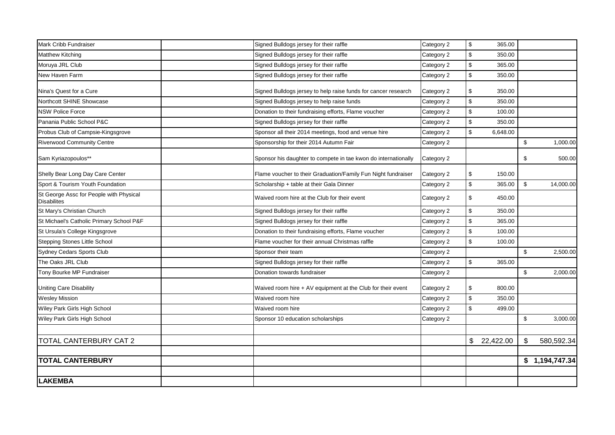| Mark Cribb Fundraiser                                         | Signed Bulldogs jersey for their raffle                        | Category 2 | \$                        | 365.00      |                           |                            |
|---------------------------------------------------------------|----------------------------------------------------------------|------------|---------------------------|-------------|---------------------------|----------------------------|
| <b>Matthew Kitching</b>                                       | Signed Bulldogs jersey for their raffle                        | Category 2 | \$                        | 350.00      |                           |                            |
| Moruya JRL Club                                               | Signed Bulldogs jersey for their raffle                        | Category 2 | $\,$                      | 365.00      |                           |                            |
| New Haven Farm                                                | Signed Bulldogs jersey for their raffle                        | Category 2 | \$                        | 350.00      |                           |                            |
| Nina's Quest for a Cure                                       | Signed Bulldogs jersey to help raise funds for cancer research | Category 2 | \$                        | 350.00      |                           |                            |
| Northcott SHINE Showcase                                      | Signed Bulldogs jersey to help raise funds                     | Category 2 | \$                        | 350.00      |                           |                            |
| <b>NSW Police Force</b>                                       | Donation to their fundraising efforts, Flame voucher           | Category 2 | $$\mathbb{S}$$            | 100.00      |                           |                            |
| Panania Public School P&C                                     | Signed Bulldogs jersey for their raffle                        | Category 2 | $\,$                      | 350.00      |                           |                            |
| Probus Club of Campsie-Kingsgrove                             | Sponsor all their 2014 meetings, food and venue hire           | Category 2 | \$                        | 6,648.00    |                           |                            |
| <b>Riverwood Community Centre</b>                             | Sponsorship for their 2014 Autumn Fair                         | Category 2 |                           |             | \$                        | 1,000.00                   |
| Sam Kyriazopoulos**                                           | Sponsor his daughter to compete in tae kwon do internationally | Category 2 |                           |             | \$                        | 500.00                     |
| Shelly Bear Long Day Care Center                              | Flame voucher to their Graduation/Family Fun Night fundraiser  | Category 2 | \$                        | 150.00      |                           |                            |
| Sport & Tourism Youth Foundation                              | Scholarship + table at their Gala Dinner                       | Category 2 | $$\mathbb{S}$$            | 365.00      | $\boldsymbol{\mathsf{S}}$ | 14,000.00                  |
| St George Assc for People with Physical<br><b>Disabilites</b> | Waived room hire at the Club for their event                   | Category 2 | \$                        | 450.00      |                           |                            |
| St Mary's Christian Church                                    | Signed Bulldogs jersey for their raffle                        | Category 2 | $\,$                      | 350.00      |                           |                            |
| St Michael's Catholic Primary School P&F                      | Signed Bulldogs jersey for their raffle                        | Category 2 | $\,$                      | 365.00      |                           |                            |
| St Ursula's College Kingsgrove                                | Donation to their fundraising efforts, Flame voucher           | Category 2 | \$                        | 100.00      |                           |                            |
| Stepping Stones Little School                                 | Flame voucher for their annual Christmas raffle                | Category 2 | $$\mathbb{S}$$            | 100.00      |                           |                            |
| Sydney Cedars Sports Club                                     | Sponsor their team                                             | Category 2 |                           |             | \$                        | 2,500.00                   |
| The Oaks JRL Club                                             | Signed Bulldogs jersey for their raffle                        | Category 2 | \$                        | 365.00      |                           |                            |
| Tony Bourke MP Fundraiser                                     | Donation towards fundraiser                                    | Category 2 |                           |             | \$                        | 2,000.00                   |
| <b>Uniting Care Disability</b>                                | Waived room hire + AV equipment at the Club for their event    | Category 2 | \$                        | 800.00      |                           |                            |
| <b>Wesley Mission</b>                                         | Waived room hire                                               | Category 2 | $\boldsymbol{\mathsf{S}}$ | 350.00      |                           |                            |
| Wiley Park Girls High School                                  | Waived room hire                                               | Category 2 | \$                        | 499.00      |                           |                            |
| Wiley Park Girls High School                                  | Sponsor 10 education scholarships                              | Category 2 |                           |             | \$                        | 3,000.00                   |
|                                                               |                                                                |            |                           |             |                           |                            |
| TOTAL CANTERBURY CAT 2                                        |                                                                |            |                           | \$22,422.00 | \$                        | 580,592.34                 |
| <b>TOTAL CANTERBURY</b>                                       |                                                                |            |                           |             |                           | $$1,194,747.\overline{34}$ |
|                                                               |                                                                |            |                           |             |                           |                            |
| <b>LAKEMBA</b>                                                |                                                                |            |                           |             |                           |                            |